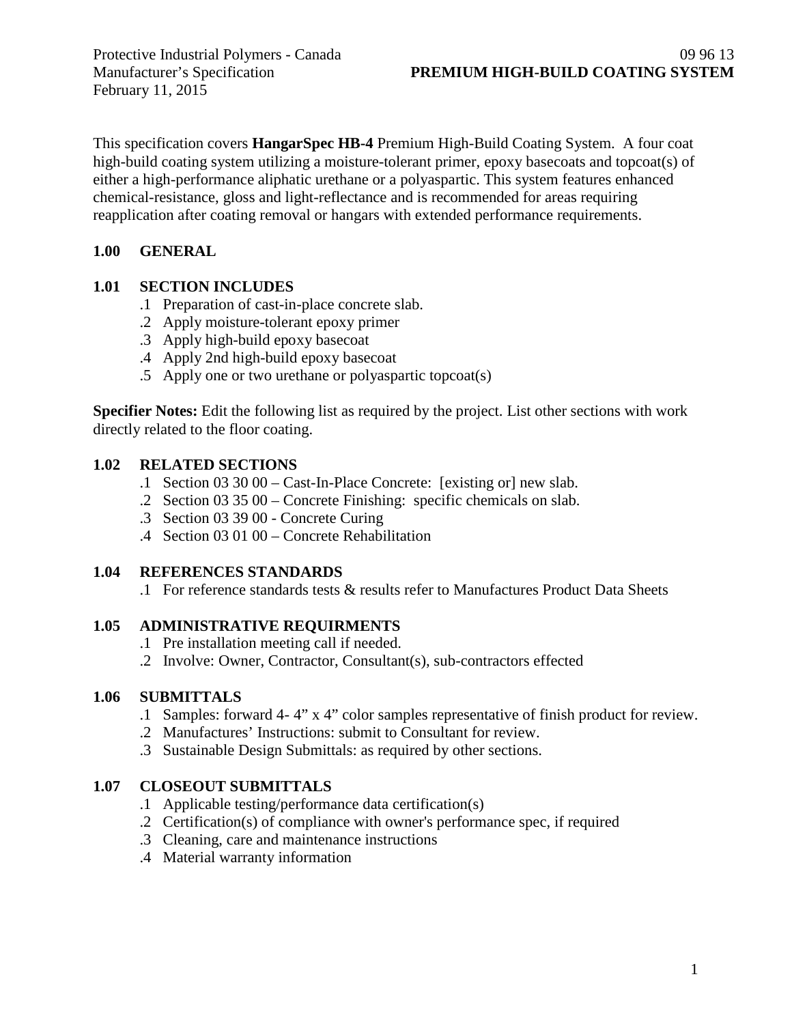February 11, 2015

This specification covers **HangarSpec HB-4** Premium High-Build Coating System. A four coat high-build coating system utilizing a moisture-tolerant primer, epoxy basecoats and topcoat(s) of either a high-performance aliphatic urethane or a polyaspartic. This system features enhanced chemical-resistance, gloss and light-reflectance and is recommended for areas requiring reapplication after coating removal or hangars with extended performance requirements.

### **1.00 GENERAL**

# **1.01 SECTION INCLUDES**

- .1 Preparation of cast-in-place concrete slab.
- .2 Apply moisture-tolerant epoxy primer
- .3 Apply high-build epoxy basecoat
- .4 Apply 2nd high-build epoxy basecoat
- .5 Apply one or two urethane or polyaspartic topcoat(s)

**Specifier Notes:** Edit the following list as required by the project. List other sections with work directly related to the floor coating.

### **1.02 RELATED SECTIONS**

- .1 Section 03 30 00 Cast-In-Place Concrete: [existing or] new slab.
- .2 Section 03 35 00 Concrete Finishing: specific chemicals on slab.
- .3 Section 03 39 00 Concrete Curing
- .4 Section 03 01 00 Concrete Rehabilitation

# **1.04 REFERENCES STANDARDS**

.1 For reference standards tests & results refer to Manufactures Product Data Sheets

#### **1.05 ADMINISTRATIVE REQUIRMENTS**

- .1 Pre installation meeting call if needed.
- .2 Involve: Owner, Contractor, Consultant(s), sub-contractors effected

# **1.06 SUBMITTALS**

- .1 Samples: forward 4- 4" x 4" color samples representative of finish product for review.
- .2 Manufactures' Instructions: submit to Consultant for review.
- .3 Sustainable Design Submittals: as required by other sections.

# **1.07 CLOSEOUT SUBMITTALS**

- .1 Applicable testing/performance data certification(s)
- .2 Certification(s) of compliance with owner's performance spec, if required
- .3 Cleaning, care and maintenance instructions
- .4 Material warranty information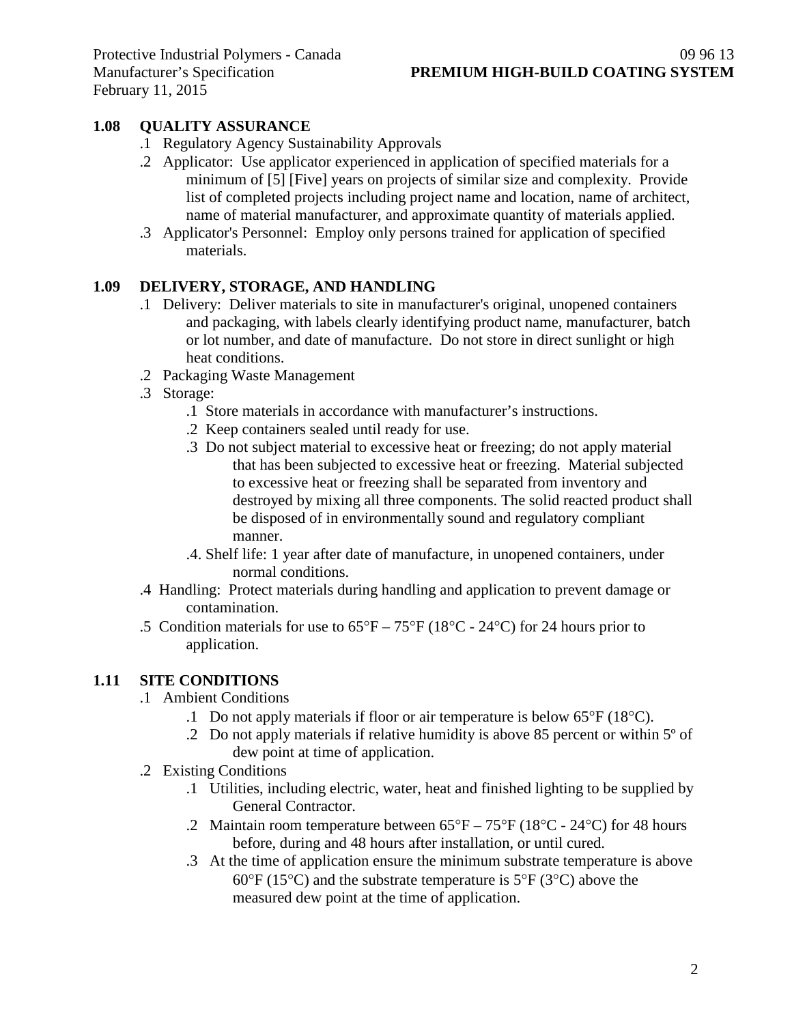## **1.08 QUALITY ASSURANCE**

- .1 Regulatory Agency Sustainability Approvals
- .2 Applicator: Use applicator experienced in application of specified materials for a minimum of [5] [Five] years on projects of similar size and complexity. Provide list of completed projects including project name and location, name of architect, name of material manufacturer, and approximate quantity of materials applied.
- .3 Applicator's Personnel: Employ only persons trained for application of specified materials.

### **1.09 DELIVERY, STORAGE, AND HANDLING**

- .1 Delivery: Deliver materials to site in manufacturer's original, unopened containers and packaging, with labels clearly identifying product name, manufacturer, batch or lot number, and date of manufacture. Do not store in direct sunlight or high heat conditions.
- .2 Packaging Waste Management
- .3 Storage:
	- .1 Store materials in accordance with manufacturer's instructions.
	- .2 Keep containers sealed until ready for use.
	- .3 Do not subject material to excessive heat or freezing; do not apply material that has been subjected to excessive heat or freezing. Material subjected to excessive heat or freezing shall be separated from inventory and destroyed by mixing all three components. The solid reacted product shall be disposed of in environmentally sound and regulatory compliant manner.
	- .4. Shelf life: 1 year after date of manufacture, in unopened containers, under normal conditions.
- .4 Handling: Protect materials during handling and application to prevent damage or contamination.
- .5 Condition materials for use to  $65^{\circ}F 75^{\circ}F (18^{\circ}C 24^{\circ}C)$  for 24 hours prior to application.

#### **1.11 SITE CONDITIONS**

- .1 Ambient Conditions
	- .1 Do not apply materials if floor or air temperature is below 65°F (18°C).
	- .2 Do not apply materials if relative humidity is above 85 percent or within 5º of dew point at time of application.
- .2 Existing Conditions
	- .1 Utilities, including electric, water, heat and finished lighting to be supplied by General Contractor.
	- .2 Maintain room temperature between  $65^{\circ}F 75^{\circ}F (18^{\circ}C 24^{\circ}C)$  for 48 hours before, during and 48 hours after installation, or until cured.
	- .3 At the time of application ensure the minimum substrate temperature is above  $60^{\circ}$ F (15<sup>o</sup>C) and the substrate temperature is 5<sup>o</sup>F (3<sup>o</sup>C) above the measured dew point at the time of application.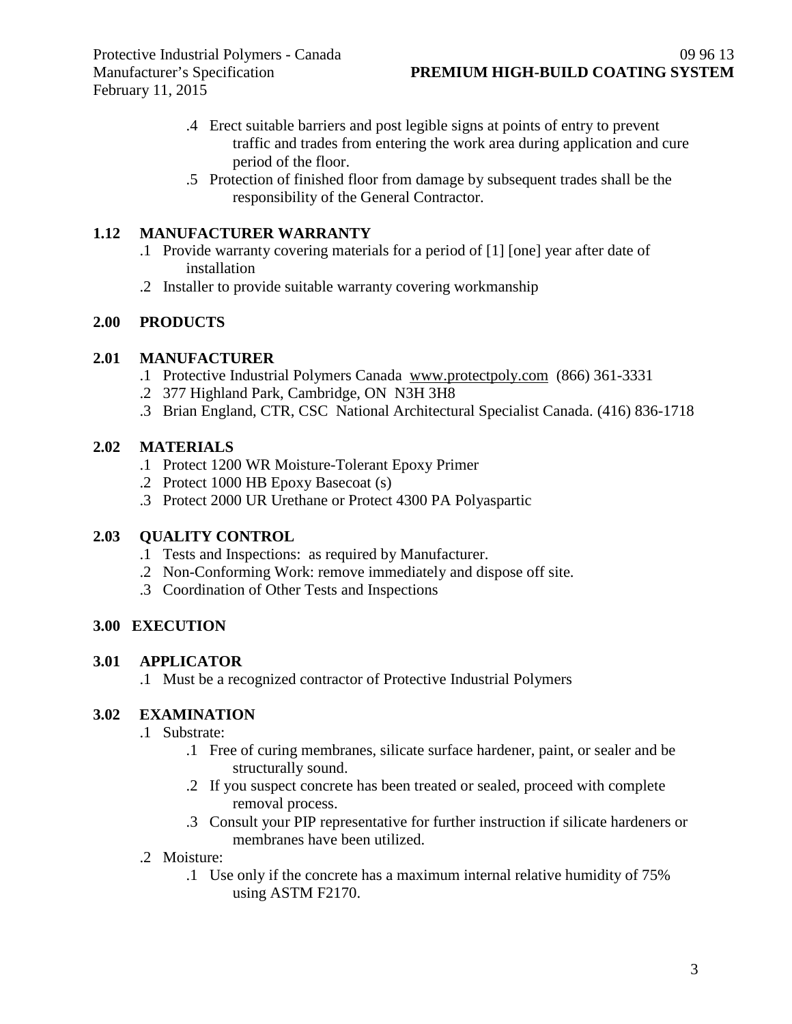- .4 Erect suitable barriers and post legible signs at points of entry to prevent traffic and trades from entering the work area during application and cure period of the floor.
- .5 Protection of finished floor from damage by subsequent trades shall be the responsibility of the General Contractor.

### **1.12 MANUFACTURER WARRANTY**

- .1 Provide warranty covering materials for a period of [1] [one] year after date of installation
- .2 Installer to provide suitable warranty covering workmanship

# **2.00 PRODUCTS**

### **2.01 MANUFACTURER**

- .1 Protective Industrial Polymers Canada [www.protectpoly.com](http://www.protectpoly.com/) (866) 361-3331
- .2 377 Highland Park, Cambridge, ON N3H 3H8
- .3 Brian England, CTR, CSC National Architectural Specialist Canada. (416) 836-1718

### **2.02 MATERIALS**

- .1 Protect 1200 WR Moisture-Tolerant Epoxy Primer
- .2 Protect 1000 HB Epoxy Basecoat (s)
- .3 Protect 2000 UR Urethane or Protect 4300 PA Polyaspartic

# **2.03 QUALITY CONTROL**

- .1 Tests and Inspections: as required by Manufacturer.
- .2 Non-Conforming Work: remove immediately and dispose off site.
- .3 Coordination of Other Tests and Inspections

# **3.00 EXECUTION**

#### **3.01 APPLICATOR**

.1 Must be a recognized contractor of Protective Industrial Polymers

# **3.02 EXAMINATION**

- .1 Substrate:
	- .1 Free of curing membranes, silicate surface hardener, paint, or sealer and be structurally sound.
	- .2 If you suspect concrete has been treated or sealed, proceed with complete removal process.
	- .3 Consult your PIP representative for further instruction if silicate hardeners or membranes have been utilized.
- .2 Moisture:
	- .1 Use only if the concrete has a maximum internal relative humidity of 75% using ASTM F2170.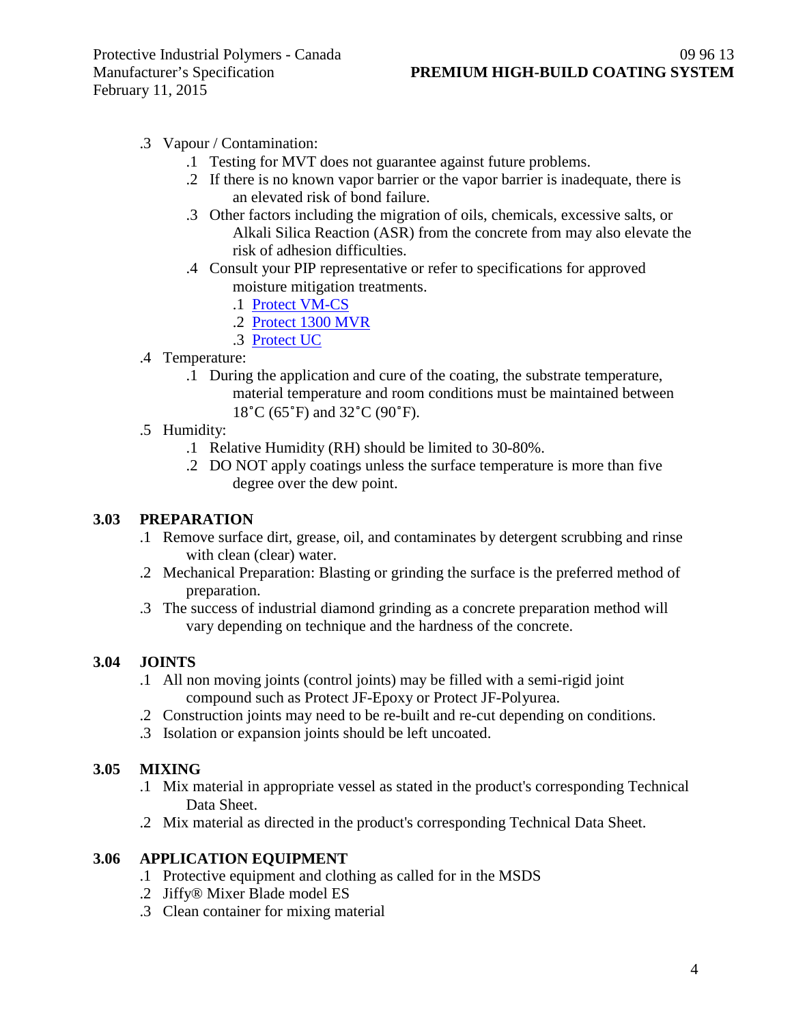- .3 Vapour / Contamination:
	- .1 Testing for MVT does not guarantee against future problems.
	- .2 If there is no known vapor barrier or the vapor barrier is inadequate, there is an elevated risk of bond failure.
	- .3 Other factors including the migration of oils, chemicals, excessive salts, or Alkali Silica Reaction (ASR) from the concrete from may also elevate the risk of adhesion difficulties.
	- .4 Consult your PIP representative or refer to specifications for approved moisture mitigation treatments.
		- .1 [Protect VM-CS](http://www.protectiveindustrialpolymers.com/Upload/Canadian%20Specs/Moisture%20Mitigation%20Spec%20-%20VM-CS%20(CANADIAN).pdf)
		- .2 [Protect 1300 MVR](http://www.protectiveindustrialpolymers.com/Upload/Canadian%20Specs/Moisture%20Mitigation%20Spec%20-%201300MVR%20(CANADIAN).pdf)
		- .3 [Protect UC](http://www.protectiveindustrialpolymers.com/Upload/Canadian%20Specs/Moisture%20Mitigation%20Spec%20-%20UC%20(CANADIAN).pdf)
- .4 Temperature:
	- .1 During the application and cure of the coating, the substrate temperature, material temperature and room conditions must be maintained between 18˚C (65˚F) and 32˚C (90˚F).
- .5 Humidity:
	- .1 Relative Humidity (RH) should be limited to 30-80%.
	- .2 DO NOT apply coatings unless the surface temperature is more than five degree over the dew point.

#### **3.03 PREPARATION**

- .1 Remove surface dirt, grease, oil, and contaminates by detergent scrubbing and rinse with clean (clear) water.
- .2 Mechanical Preparation: Blasting or grinding the surface is the preferred method of preparation.
- .3 The success of industrial diamond grinding as a concrete preparation method will vary depending on technique and the hardness of the concrete.

#### **3.04 JOINTS**

- .1 All non moving joints (control joints) may be filled with a semi-rigid joint compound such as Protect JF-Epoxy or Protect JF-Polyurea.
- .2 Construction joints may need to be re-built and re-cut depending on conditions.
- .3 Isolation or expansion joints should be left uncoated.

#### **3.05 MIXING**

- .1 Mix material in appropriate vessel as stated in the product's corresponding Technical Data Sheet.
- .2 Mix material as directed in the product's corresponding Technical Data Sheet.

#### **3.06 APPLICATION EQUIPMENT**

- .1 Protective equipment and clothing as called for in the MSDS
- .2 Jiffy® Mixer Blade model ES
- .3 Clean container for mixing material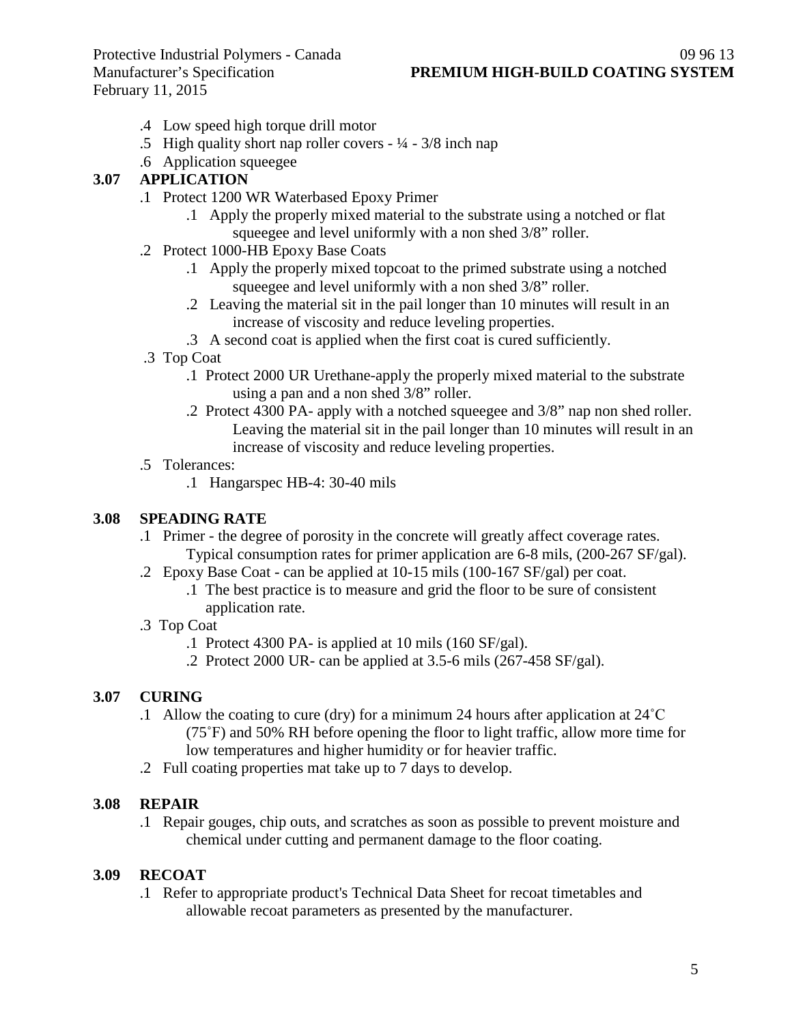February 11, 2015

- .4 Low speed high torque drill motor
- .5 High quality short nap roller covers  $\frac{1}{4} \frac{3}{8}$  inch nap
- .6 Application squeegee

#### **3.07 APPLICATION**

- .1 Protect 1200 WR Waterbased Epoxy Primer
	- .1 Apply the properly mixed material to the substrate using a notched or flat squeegee and level uniformly with a non shed 3/8" roller.
- .2 Protect 1000-HB Epoxy Base Coats
	- .1 Apply the properly mixed topcoat to the primed substrate using a notched squeegee and level uniformly with a non shed 3/8" roller.
	- .2 Leaving the material sit in the pail longer than 10 minutes will result in an increase of viscosity and reduce leveling properties.
	- .3 A second coat is applied when the first coat is cured sufficiently.
- .3 Top Coat
	- .1 Protect 2000 UR Urethane-apply the properly mixed material to the substrate using a pan and a non shed 3/8" roller.
	- .2 Protect 4300 PA- apply with a notched squeegee and 3/8" nap non shed roller. Leaving the material sit in the pail longer than 10 minutes will result in an increase of viscosity and reduce leveling properties.
- .5 Tolerances:
	- .1 Hangarspec HB-4: 30-40 mils

#### **3.08 SPEADING RATE**

- .1 Primer the degree of porosity in the concrete will greatly affect coverage rates. Typical consumption rates for primer application are 6-8 mils, (200-267 SF/gal).
- .2 Epoxy Base Coat can be applied at 10-15 mils (100-167 SF/gal) per coat.
	- .1 The best practice is to measure and grid the floor to be sure of consistent application rate.
- .3 Top Coat
	- .1 Protect 4300 PA- is applied at 10 mils (160 SF/gal).
	- .2 Protect 2000 UR- can be applied at 3.5-6 mils (267-458 SF/gal).

#### **3.07 CURING**

- .1 Allow the coating to cure (dry) for a minimum 24 hours after application at 24˚C (75˚F) and 50% RH before opening the floor to light traffic, allow more time for low temperatures and higher humidity or for heavier traffic.
- .2 Full coating properties mat take up to 7 days to develop.

#### **3.08 REPAIR**

.1 Repair gouges, chip outs, and scratches as soon as possible to prevent moisture and chemical under cutting and permanent damage to the floor coating.

#### **3.09 RECOAT**

.1 Refer to appropriate product's Technical Data Sheet for recoat timetables and allowable recoat parameters as presented by the manufacturer.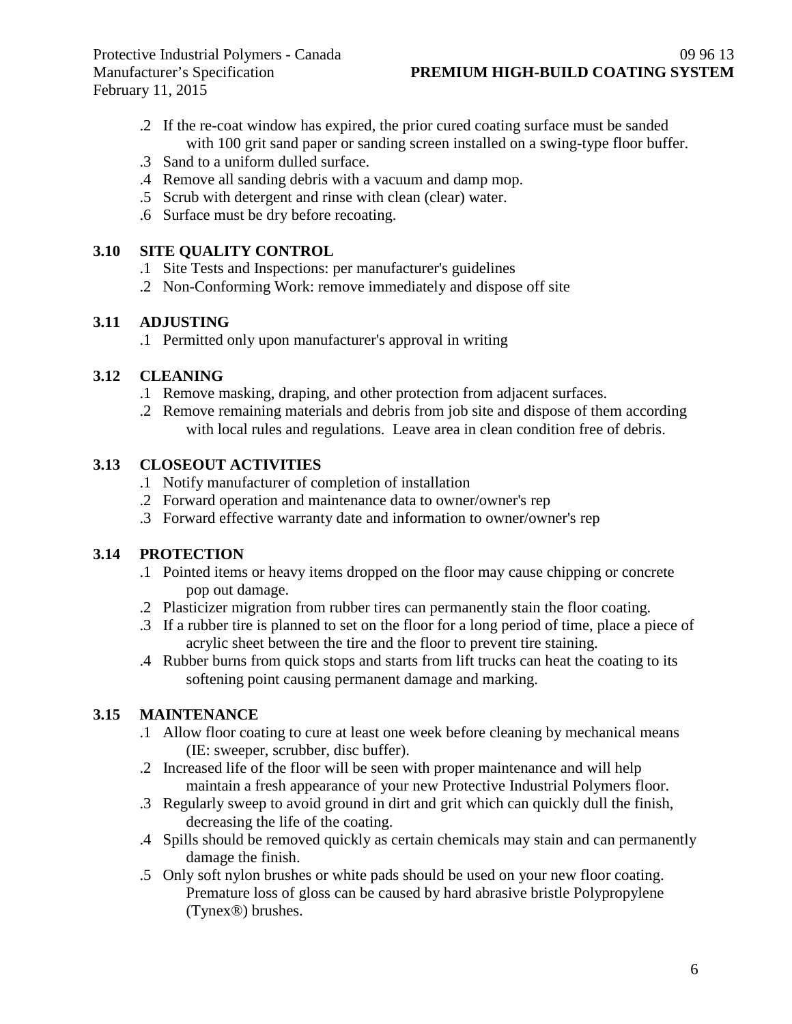- .2 If the re-coat window has expired, the prior cured coating surface must be sanded with 100 grit sand paper or sanding screen installed on a swing-type floor buffer.
- .3 Sand to a uniform dulled surface.
- .4 Remove all sanding debris with a vacuum and damp mop.
- .5 Scrub with detergent and rinse with clean (clear) water.
- .6 Surface must be dry before recoating.

## **3.10 SITE QUALITY CONTROL**

- .1 Site Tests and Inspections: per manufacturer's guidelines
- .2 Non-Conforming Work: remove immediately and dispose off site

### **3.11 ADJUSTING**

.1 Permitted only upon manufacturer's approval in writing

### **3.12 CLEANING**

- .1 Remove masking, draping, and other protection from adjacent surfaces.
- .2 Remove remaining materials and debris from job site and dispose of them according with local rules and regulations. Leave area in clean condition free of debris.

### **3.13 CLOSEOUT ACTIVITIES**

- .1 Notify manufacturer of completion of installation
- .2 Forward operation and maintenance data to owner/owner's rep
- .3 Forward effective warranty date and information to owner/owner's rep

# **3.14 PROTECTION**

- .1 Pointed items or heavy items dropped on the floor may cause chipping or concrete pop out damage.
- .2 Plasticizer migration from rubber tires can permanently stain the floor coating.
- .3 If a rubber tire is planned to set on the floor for a long period of time, place a piece of acrylic sheet between the tire and the floor to prevent tire staining.
- .4 Rubber burns from quick stops and starts from lift trucks can heat the coating to its softening point causing permanent damage and marking.

# **3.15 MAINTENANCE**

- .1 Allow floor coating to cure at least one week before cleaning by mechanical means (IE: sweeper, scrubber, disc buffer).
- .2 Increased life of the floor will be seen with proper maintenance and will help maintain a fresh appearance of your new Protective Industrial Polymers floor.
- .3 Regularly sweep to avoid ground in dirt and grit which can quickly dull the finish, decreasing the life of the coating.
- .4 Spills should be removed quickly as certain chemicals may stain and can permanently damage the finish.
- .5 Only soft nylon brushes or white pads should be used on your new floor coating. Premature loss of gloss can be caused by hard abrasive bristle Polypropylene (Tynex®) brushes.